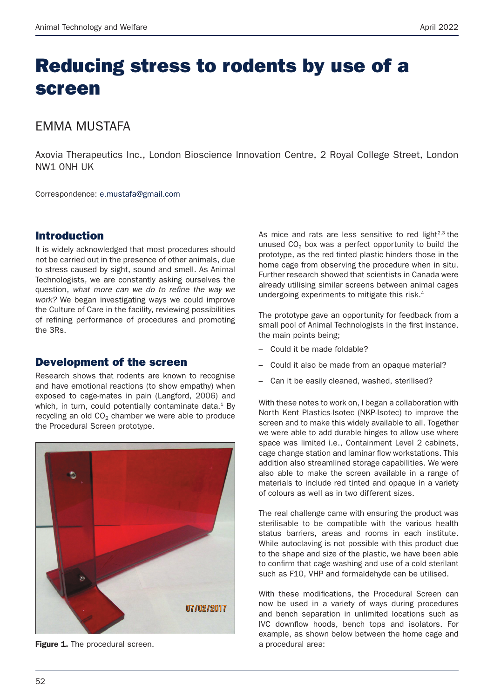# Reducing stress to rodents by use of a screen

# EMMA MUSTAFA

Axovia Therapeutics Inc., London Bioscience Innovation Centre, 2 Royal College Street, London NW1 0NH UK

Correspondence: e.mustafa@gmail.com

#### Introduction

It is widely acknowledged that most procedures should not be carried out in the presence of other animals, due to stress caused by sight, sound and smell. As Animal Technologists, we are constantly asking ourselves the question, what more can we do to refine the way we *work?* We began investigating ways we could improve the Culture of Care in the facility, reviewing possibilities of refining performance of procedures and promoting the 3Rs.

#### Development of the screen

Research shows that rodents are known to recognise and have emotional reactions (to show empathy) when exposed to cage-mates in pain (Langford, 2006) and which, in turn, could potentially contaminate data. $1$  By recycling an old  $CO<sub>2</sub>$  chamber we were able to produce the Procedural Screen prototype.



**Figure 1.** The procedural screen. The street area: a procedural area:

As mice and rats are less sensitive to red light $2.3$  the unused  $CO<sub>2</sub>$  box was a perfect opportunity to build the prototype, as the red tinted plastic hinders those in the home cage from observing the procedure when in situ. Further research showed that scientists in Canada were already utilising similar screens between animal cages undergoing experiments to mitigate this risk.4

The prototype gave an opportunity for feedback from a small pool of Animal Technologists in the first instance, the main points being;

- Could it be made foldable?
- Could it also be made from an opaque material?
- Can it be easily cleaned, washed, sterilised?

With these notes to work on, I began a collaboration with North Kent Plastics-Isotec (NKP-Isotec) to improve the screen and to make this widely available to all. Together we were able to add durable hinges to allow use where space was limited i.e., Containment Level 2 cabinets, cage change station and laminar flow workstations. This addition also streamlined storage capabilities. We were also able to make the screen available in a range of materials to include red tinted and opaque in a variety of colours as well as in two different sizes.

The real challenge came with ensuring the product was sterilisable to be compatible with the various health status barriers, areas and rooms in each institute. While autoclaving is not possible with this product due to the shape and size of the plastic, we have been able to confirm that cage washing and use of a cold sterilant such as F10, VHP and formaldehyde can be utilised.

With these modifications, the Procedural Screen can now be used in a variety of ways during procedures and bench separation in unlimited locations such as IVC downflow hoods, bench tops and isolators. For example, as shown below between the home cage and